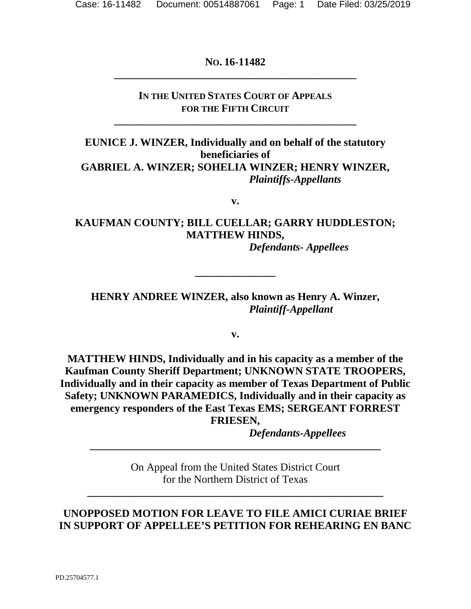## **NO. 16-11482 \_\_\_\_\_\_\_\_\_\_\_\_\_\_\_\_\_\_\_\_\_\_\_\_\_\_\_\_\_\_\_\_\_\_\_\_\_\_\_\_\_\_\_\_\_**

## **IN THE UNITED STATES COURT OF APPEALS FOR THE FIFTH CIRCUIT**

**\_\_\_\_\_\_\_\_\_\_\_\_\_\_\_\_\_\_\_\_\_\_\_\_\_\_\_\_\_\_\_\_\_\_\_\_\_\_\_\_\_\_\_\_\_** 

**EUNICE J. WINZER, Individually and on behalf of the statutory beneficiaries of GABRIEL A. WINZER; SOHELIA WINZER; HENRY WINZER,**  *Plaintiffs-Appellants* 

**v.** 

## **KAUFMAN COUNTY; BILL CUELLAR; GARRY HUDDLESTON; MATTHEW HINDS,**

*Defendants- Appellees* 

**HENRY ANDREE WINZER, also known as Henry A. Winzer,**  *Plaintiff-Appellant* 

**\_\_\_\_\_\_\_\_\_\_\_\_\_\_\_** 

**v.** 

**MATTHEW HINDS, Individually and in his capacity as a member of the Kaufman County Sheriff Department; UNKNOWN STATE TROOPERS, Individually and in their capacity as member of Texas Department of Public Safety; UNKNOWN PARAMEDICS, Individually and in their capacity as emergency responders of the East Texas EMS; SERGEANT FORREST FRIESEN,** 

*Defendants-Appellees* 

On Appeal from the United States District Court for the Northern District of Texas

**\_\_\_\_\_\_\_\_\_\_\_\_\_\_\_\_\_\_\_\_\_\_\_\_\_\_\_\_\_\_\_\_\_\_\_\_\_\_\_\_\_\_\_\_\_\_\_\_\_\_\_\_\_\_\_** 

**\_\_\_\_\_\_\_\_\_\_\_\_\_\_\_\_\_\_\_\_\_\_\_\_\_\_\_\_\_\_\_\_\_\_\_\_\_\_\_\_\_\_\_\_\_\_\_\_\_\_\_\_\_\_** 

## **UNOPPOSED MOTION FOR LEAVE TO FILE AMICI CURIAE BRIEF IN SUPPORT OF APPELLEE'S PETITION FOR REHEARING EN BANC**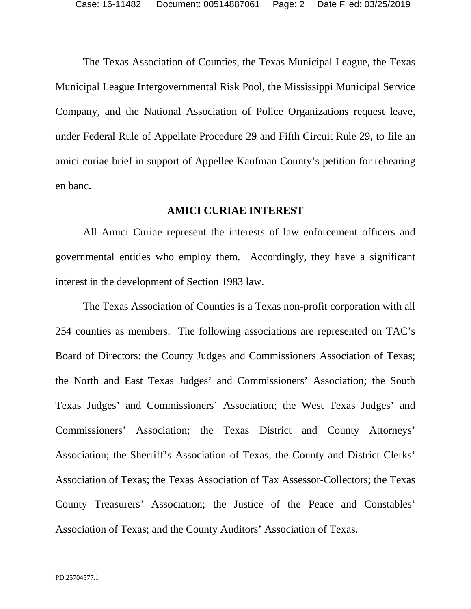The Texas Association of Counties, the Texas Municipal League, the Texas Municipal League Intergovernmental Risk Pool, the Mississippi Municipal Service Company, and the National Association of Police Organizations request leave, under Federal Rule of Appellate Procedure 29 and Fifth Circuit Rule 29, to file an amici curiae brief in support of Appellee Kaufman County's petition for rehearing en banc.

#### **AMICI CURIAE INTEREST**

All Amici Curiae represent the interests of law enforcement officers and governmental entities who employ them. Accordingly, they have a significant interest in the development of Section 1983 law.

The Texas Association of Counties is a Texas non-profit corporation with all 254 counties as members. The following associations are represented on TAC's Board of Directors: the County Judges and Commissioners Association of Texas; the North and East Texas Judges' and Commissioners' Association; the South Texas Judges' and Commissioners' Association; the West Texas Judges' and Commissioners' Association; the Texas District and County Attorneys' Association; the Sherriff's Association of Texas; the County and District Clerks' Association of Texas; the Texas Association of Tax Assessor-Collectors; the Texas County Treasurers' Association; the Justice of the Peace and Constables' Association of Texas; and the County Auditors' Association of Texas.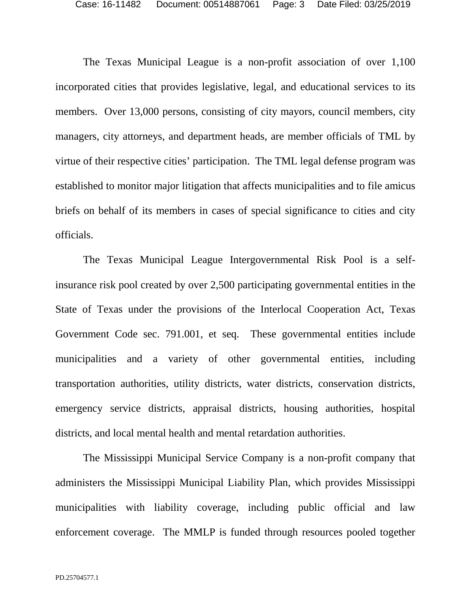The Texas Municipal League is a non-profit association of over 1,100 incorporated cities that provides legislative, legal, and educational services to its members. Over 13,000 persons, consisting of city mayors, council members, city managers, city attorneys, and department heads, are member officials of TML by virtue of their respective cities' participation. The TML legal defense program was established to monitor major litigation that affects municipalities and to file amicus briefs on behalf of its members in cases of special significance to cities and city officials.

The Texas Municipal League Intergovernmental Risk Pool is a selfinsurance risk pool created by over 2,500 participating governmental entities in the State of Texas under the provisions of the Interlocal Cooperation Act, Texas Government Code sec. 791.001, et seq. These governmental entities include municipalities and a variety of other governmental entities, including transportation authorities, utility districts, water districts, conservation districts, emergency service districts, appraisal districts, housing authorities, hospital districts, and local mental health and mental retardation authorities.

The Mississippi Municipal Service Company is a non-profit company that administers the Mississippi Municipal Liability Plan, which provides Mississippi municipalities with liability coverage, including public official and law enforcement coverage. The MMLP is funded through resources pooled together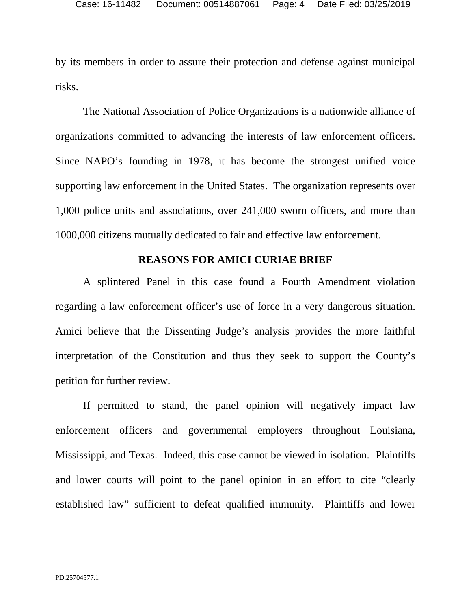by its members in order to assure their protection and defense against municipal risks.

The National Association of Police Organizations is a nationwide alliance of organizations committed to advancing the interests of law enforcement officers. Since NAPO's founding in 1978, it has become the strongest unified voice supporting law enforcement in the United States. The organization represents over 1,000 police units and associations, over 241,000 sworn officers, and more than 1000,000 citizens mutually dedicated to fair and effective law enforcement.

### **REASONS FOR AMICI CURIAE BRIEF**

A splintered Panel in this case found a Fourth Amendment violation regarding a law enforcement officer's use of force in a very dangerous situation. Amici believe that the Dissenting Judge's analysis provides the more faithful interpretation of the Constitution and thus they seek to support the County's petition for further review.

If permitted to stand, the panel opinion will negatively impact law enforcement officers and governmental employers throughout Louisiana, Mississippi, and Texas. Indeed, this case cannot be viewed in isolation. Plaintiffs and lower courts will point to the panel opinion in an effort to cite "clearly established law" sufficient to defeat qualified immunity. Plaintiffs and lower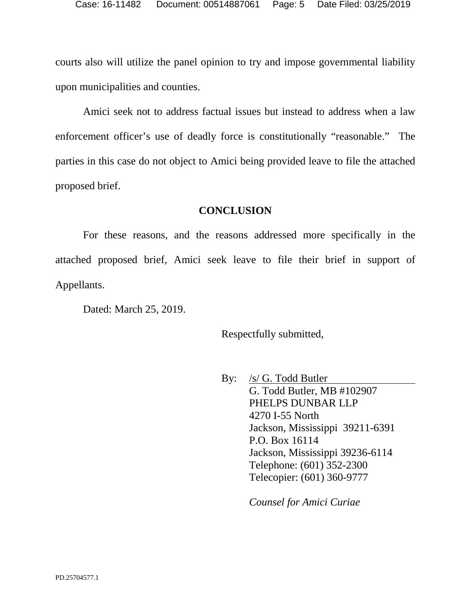courts also will utilize the panel opinion to try and impose governmental liability upon municipalities and counties.

Amici seek not to address factual issues but instead to address when a law enforcement officer's use of deadly force is constitutionally "reasonable." The parties in this case do not object to Amici being provided leave to file the attached proposed brief.

### **CONCLUSION**

For these reasons, and the reasons addressed more specifically in the attached proposed brief, Amici seek leave to file their brief in support of Appellants.

Dated: March 25, 2019.

Respectfully submitted,

By: /s/ G. Todd Butler G. Todd Butler, MB #102907 PHELPS DUNBAR LLP 4270 I-55 North Jackson, Mississippi 39211-6391 P.O. Box 16114 Jackson, Mississippi 39236-6114 Telephone: (601) 352-2300 Telecopier: (601) 360-9777

*Counsel for Amici Curiae*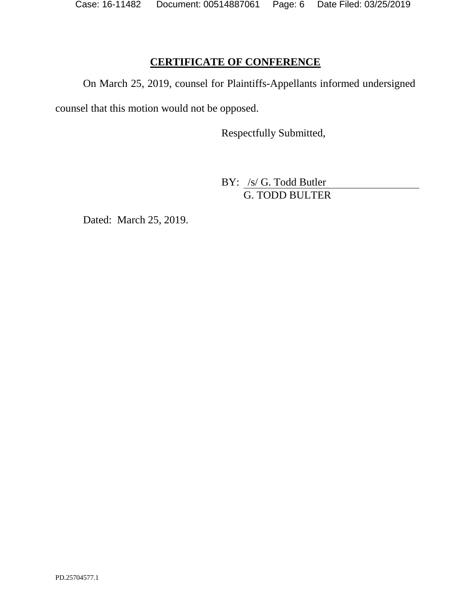Case: 16-11482 Document: 00514887061 Page: 6 Date Filed: 03/25/2019

## **CERTIFICATE OF CONFERENCE**

On March 25, 2019, counsel for Plaintiffs-Appellants informed undersigned

counsel that this motion would not be opposed.

Respectfully Submitted,

BY: /s/ G. Todd Butler G. TODD BULTER

Dated: March 25, 2019.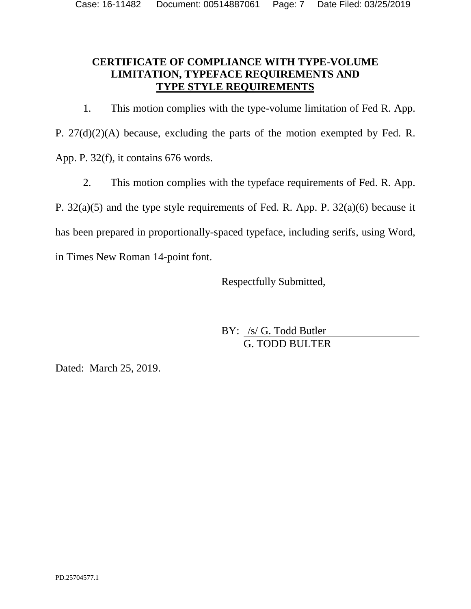## **CERTIFICATE OF COMPLIANCE WITH TYPE-VOLUME LIMITATION, TYPEFACE REQUIREMENTS AND TYPE STYLE REQUIREMENTS**

1. This motion complies with the type-volume limitation of Fed R. App. P. 27(d)(2)(A) because, excluding the parts of the motion exempted by Fed. R. App. P. 32(f), it contains 676 words.

2. This motion complies with the typeface requirements of Fed. R. App.

P. 32(a)(5) and the type style requirements of Fed. R. App. P. 32(a)(6) because it

has been prepared in proportionally-spaced typeface, including serifs, using Word,

in Times New Roman 14-point font.

Respectfully Submitted,

BY: /s/ G. Todd Butler G. TODD BULTER

Dated: March 25, 2019.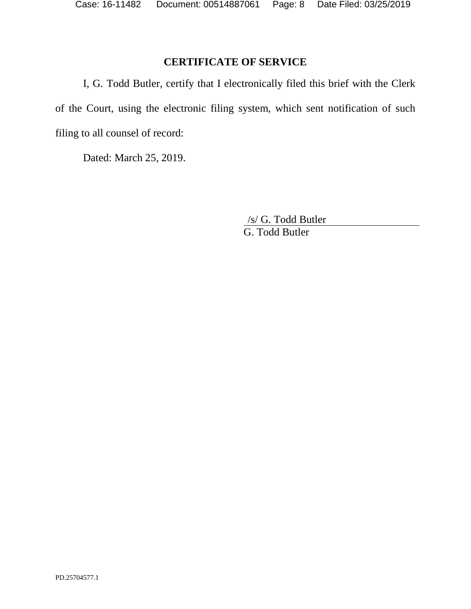## **CERTIFICATE OF SERVICE**

I, G. Todd Butler, certify that I electronically filed this brief with the Clerk of the Court, using the electronic filing system, which sent notification of such filing to all counsel of record:

Dated: March 25, 2019.

/s/ G. Todd Butler G. Todd Butler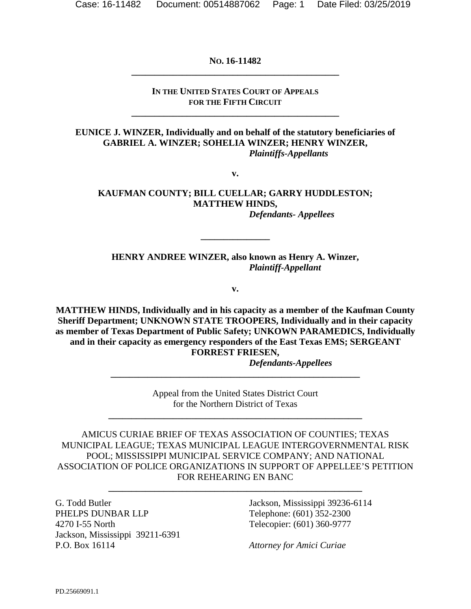**NO. 16-11482 \_\_\_\_\_\_\_\_\_\_\_\_\_\_\_\_\_\_\_\_\_\_\_\_\_\_\_\_\_\_\_\_\_\_\_\_\_\_\_\_\_\_\_\_\_** 

#### **IN THE UNITED STATES COURT OF APPEALS FOR THE FIFTH CIRCUIT**

**\_\_\_\_\_\_\_\_\_\_\_\_\_\_\_\_\_\_\_\_\_\_\_\_\_\_\_\_\_\_\_\_\_\_\_\_\_\_\_\_\_\_\_\_\_** 

**EUNICE J. WINZER, Individually and on behalf of the statutory beneficiaries of GABRIEL A. WINZER; SOHELIA WINZER; HENRY WINZER,**  *Plaintiffs-Appellants* 

**v.** 

#### **KAUFMAN COUNTY; BILL CUELLAR; GARRY HUDDLESTON; MATTHEW HINDS,**  *Defendants- Appellees*

**HENRY ANDREE WINZER, also known as Henry A. Winzer,**  *Plaintiff-Appellant* 

**\_\_\_\_\_\_\_\_\_\_\_\_\_\_\_** 

**v.** 

**MATTHEW HINDS, Individually and in his capacity as a member of the Kaufman County Sheriff Department; UNKNOWN STATE TROOPERS, Individually and in their capacity as member of Texas Department of Public Safety; UNKOWN PARAMEDICS, Individually and in their capacity as emergency responders of the East Texas EMS; SERGEANT FORREST FRIESEN,** 

*Defendants-Appellees* 

Appeal from the United States District Court for the Northern District of Texas

**\_\_\_\_\_\_\_\_\_\_\_\_\_\_\_\_\_\_\_\_\_\_\_\_\_\_\_\_\_\_\_\_\_\_\_\_\_\_\_\_\_\_\_\_\_\_\_\_\_\_\_\_\_\_\_** 

**\_\_\_\_\_\_\_\_\_\_\_\_\_\_\_\_\_\_\_\_\_\_\_\_\_\_\_\_\_\_\_\_\_\_\_\_\_\_\_\_\_\_\_\_\_\_\_\_\_\_\_\_\_\_** 

AMICUS CURIAE BRIEF OF TEXAS ASSOCIATION OF COUNTIES; TEXAS MUNICIPAL LEAGUE; TEXAS MUNICIPAL LEAGUE INTERGOVERNMENTAL RISK POOL; MISSISSIPPI MUNICIPAL SERVICE COMPANY; AND NATIONAL ASSOCIATION OF POLICE ORGANIZATIONS IN SUPPORT OF APPELLEE'S PETITION FOR REHEARING EN BANC

**\_\_\_\_\_\_\_\_\_\_\_\_\_\_\_\_\_\_\_\_\_\_\_\_\_\_\_\_\_\_\_\_\_\_\_\_\_\_\_\_\_\_\_\_\_\_\_\_\_\_\_\_\_\_\_** 

G. Todd Butler PHELPS DUNBAR LLP 4270 I-55 North Jackson, Mississippi 39211-6391 P.O. Box 16114

Jackson, Mississippi 39236-6114 Telephone: (601) 352-2300 Telecopier: (601) 360-9777

*Attorney for Amici Curiae*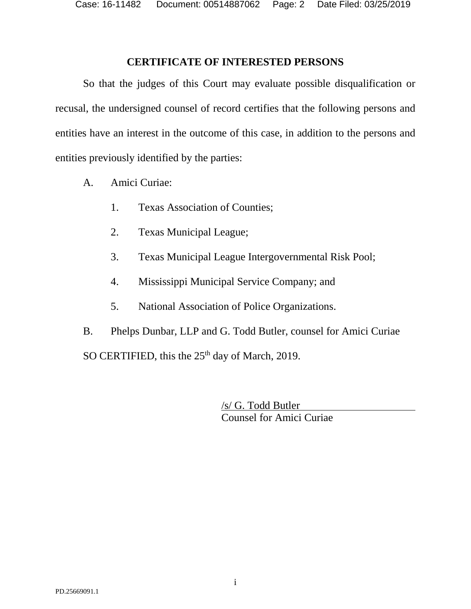Case: 16-11482 Document: 00514887062 Page: 2 Date Filed: 03/25/2019

### **CERTIFICATE OF INTERESTED PERSONS**

<span id="page-9-0"></span>So that the judges of this Court may evaluate possible disqualification or recusal, the undersigned counsel of record certifies that the following persons and entities have an interest in the outcome of this case, in addition to the persons and entities previously identified by the parties:

- A. Amici Curiae:
	- 1. Texas Association of Counties;
	- 2. Texas Municipal League;
	- 3. Texas Municipal League Intergovernmental Risk Pool;
	- 4. Mississippi Municipal Service Company; and
	- 5. National Association of Police Organizations.

B. Phelps Dunbar, LLP and G. Todd Butler, counsel for Amici Curiae SO CERTIFIED, this the  $25<sup>th</sup>$  day of March, 2019.

> /s/ G. Todd Butler Counsel for Amici Curiae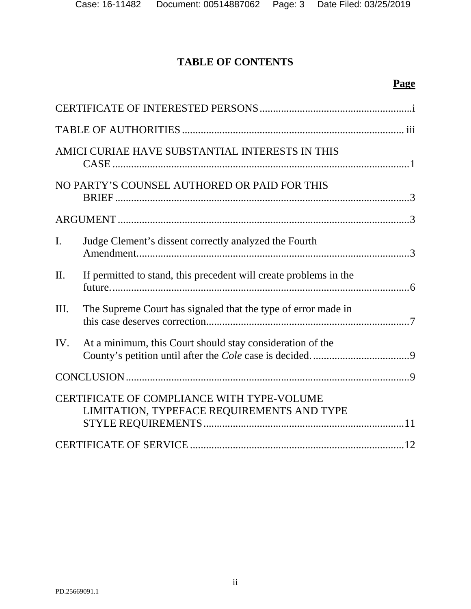# **TABLE OF CONTENTS**

## **Page**

|                | AMICI CURIAE HAVE SUBSTANTIAL INTERESTS IN THIS                                          |  |
|----------------|------------------------------------------------------------------------------------------|--|
|                | NO PARTY'S COUNSEL AUTHORED OR PAID FOR THIS                                             |  |
|                |                                                                                          |  |
| $\mathbf{I}$ . | Judge Clement's dissent correctly analyzed the Fourth                                    |  |
| II.            | If permitted to stand, this precedent will create problems in the                        |  |
| Ш.             | The Supreme Court has signaled that the type of error made in                            |  |
| IV.            | At a minimum, this Court should stay consideration of the                                |  |
|                |                                                                                          |  |
|                | CERTIFICATE OF COMPLIANCE WITH TYPE-VOLUME<br>LIMITATION, TYPEFACE REQUIREMENTS AND TYPE |  |
|                |                                                                                          |  |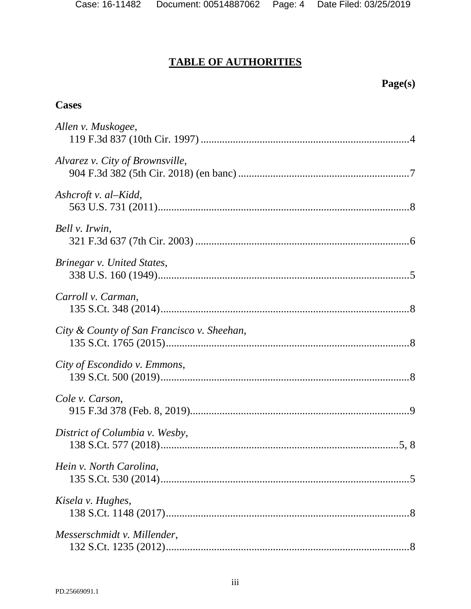# **TABLE OF AUTHORITIES**

# **Page(s)**

### <span id="page-11-0"></span>**Cases**

| Allen v. Muskogee,                         |
|--------------------------------------------|
| Alvarez v. City of Brownsville,            |
| Ashcroft v. al-Kidd,                       |
| Bell v. Irwin,                             |
| Brinegar v. United States,                 |
| Carroll v. Carman,                         |
| City & County of San Francisco v. Sheehan, |
| City of Escondido v. Emmons,               |
| Cole v. Carson,                            |
| District of Columbia v. Wesby,             |
| Hein v. North Carolina,                    |
| Kisela v. Hughes,                          |
| Messerschmidt v. Millender,                |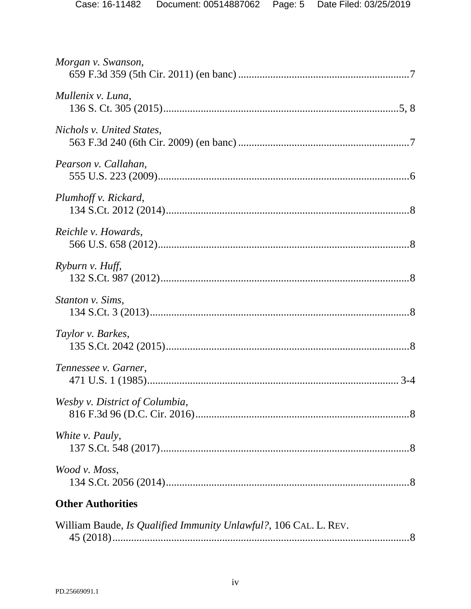| Morgan v. Swanson,                                               |  |  |
|------------------------------------------------------------------|--|--|
| Mullenix v. Luna,                                                |  |  |
| Nichols v. United States,                                        |  |  |
| Pearson v. Callahan,                                             |  |  |
| Plumhoff v. Rickard,                                             |  |  |
| Reichle v. Howards,                                              |  |  |
| Ryburn v. Huff,                                                  |  |  |
| Stanton v. Sims,                                                 |  |  |
| Taylor v. Barkes,                                                |  |  |
| Tennessee v. Garner,                                             |  |  |
| Wesby v. District of Columbia,                                   |  |  |
| White v. Pauly,                                                  |  |  |
| Wood v. Moss,                                                    |  |  |
| <b>Other Authorities</b>                                         |  |  |
| William Baude, Is Qualified Immunity Unlawful?, 106 CAL. L. REV. |  |  |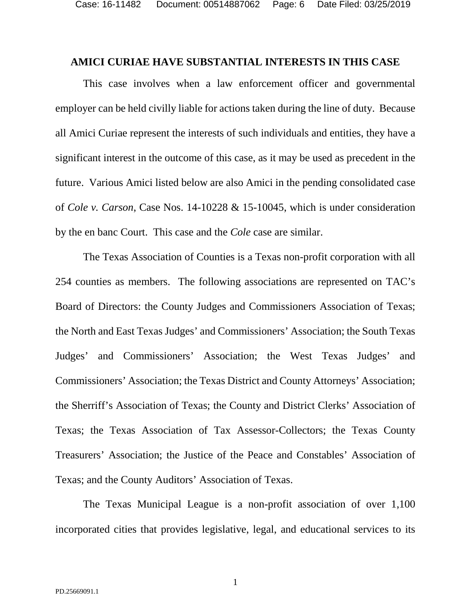#### <span id="page-13-0"></span>**AMICI CURIAE HAVE SUBSTANTIAL INTERESTS IN THIS CASE**

This case involves when a law enforcement officer and governmental employer can be held civilly liable for actions taken during the line of duty. Because all Amici Curiae represent the interests of such individuals and entities, they have a significant interest in the outcome of this case, as it may be used as precedent in the future. Various Amici listed below are also Amici in the pending consolidated case of *Cole v. Carson*, Case Nos. 14-10228 & 15-10045, which is under consideration by the en banc Court. This case and the *Cole* case are similar.

The Texas Association of Counties is a Texas non-profit corporation with all 254 counties as members. The following associations are represented on TAC's Board of Directors: the County Judges and Commissioners Association of Texas; the North and East Texas Judges' and Commissioners' Association; the South Texas Judges' and Commissioners' Association; the West Texas Judges' and Commissioners' Association; the Texas District and County Attorneys' Association; the Sherriff's Association of Texas; the County and District Clerks' Association of Texas; the Texas Association of Tax Assessor-Collectors; the Texas County Treasurers' Association; the Justice of the Peace and Constables' Association of Texas; and the County Auditors' Association of Texas.

The Texas Municipal League is a non-profit association of over 1,100 incorporated cities that provides legislative, legal, and educational services to its

1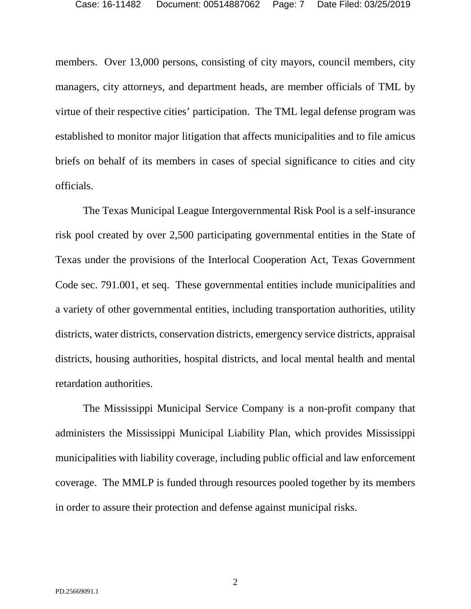members. Over 13,000 persons, consisting of city mayors, council members, city managers, city attorneys, and department heads, are member officials of TML by virtue of their respective cities' participation. The TML legal defense program was established to monitor major litigation that affects municipalities and to file amicus briefs on behalf of its members in cases of special significance to cities and city officials.

The Texas Municipal League Intergovernmental Risk Pool is a self-insurance risk pool created by over 2,500 participating governmental entities in the State of Texas under the provisions of the Interlocal Cooperation Act, Texas Government Code sec. 791.001, et seq. These governmental entities include municipalities and a variety of other governmental entities, including transportation authorities, utility districts, water districts, conservation districts, emergency service districts, appraisal districts, housing authorities, hospital districts, and local mental health and mental retardation authorities.

The Mississippi Municipal Service Company is a non-profit company that administers the Mississippi Municipal Liability Plan, which provides Mississippi municipalities with liability coverage, including public official and law enforcement coverage. The MMLP is funded through resources pooled together by its members in order to assure their protection and defense against municipal risks.

2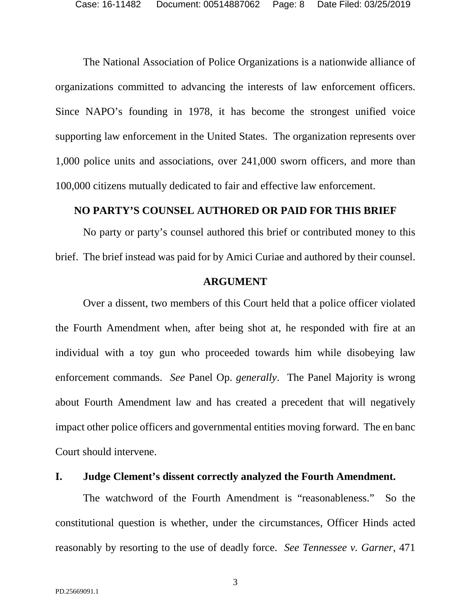The National Association of Police Organizations is a nationwide alliance of organizations committed to advancing the interests of law enforcement officers. Since NAPO's founding in 1978, it has become the strongest unified voice supporting law enforcement in the United States. The organization represents over 1,000 police units and associations, over 241,000 sworn officers, and more than 100,000 citizens mutually dedicated to fair and effective law enforcement.

### <span id="page-15-0"></span>**NO PARTY'S COUNSEL AUTHORED OR PAID FOR THIS BRIEF**

No party or party's counsel authored this brief or contributed money to this brief. The brief instead was paid for by Amici Curiae and authored by their counsel.

### **ARGUMENT**

<span id="page-15-1"></span>Over a dissent, two members of this Court held that a police officer violated the Fourth Amendment when, after being shot at, he responded with fire at an individual with a toy gun who proceeded towards him while disobeying law enforcement commands. *See* Panel Op. *generally*. The Panel Majority is wrong about Fourth Amendment law and has created a precedent that will negatively impact other police officers and governmental entities moving forward. The en banc Court should intervene.

### <span id="page-15-2"></span>**I. Judge Clement's dissent correctly analyzed the Fourth Amendment.**

<span id="page-15-3"></span>The watchword of the Fourth Amendment is "reasonableness." So the constitutional question is whether, under the circumstances, Officer Hinds acted reasonably by resorting to the use of deadly force. *See Tennessee v. Garner*, 471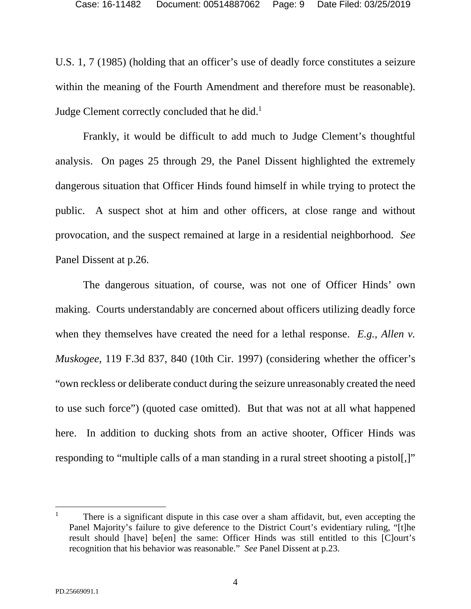U.S. 1, 7 (1985) (holding that an officer's use of deadly force constitutes a seizure within the meaning of the Fourth Amendment and therefore must be reasonable). Judge Clement correctly concluded that he did.<sup>1</sup>

Frankly, it would be difficult to add much to Judge Clement's thoughtful analysis. On pages 25 through 29, the Panel Dissent highlighted the extremely dangerous situation that Officer Hinds found himself in while trying to protect the public. A suspect shot at him and other officers, at close range and without provocation, and the suspect remained at large in a residential neighborhood. *See*  Panel Dissent at p.26.

<span id="page-16-0"></span>The dangerous situation, of course, was not one of Officer Hinds' own making. Courts understandably are concerned about officers utilizing deadly force when they themselves have created the need for a lethal response. *E.g., Allen v. Muskogee*, 119 F.3d 837, 840 (10th Cir. 1997) (considering whether the officer's "own reckless or deliberate conduct during the seizure unreasonably created the need to use such force") (quoted case omitted). But that was not at all what happened here. In addition to ducking shots from an active shooter, Officer Hinds was responding to "multiple calls of a man standing in a rural street shooting a pistol.]"

 $\overline{a}$ 1 There is a significant dispute in this case over a sham affidavit, but, even accepting the Panel Majority's failure to give deference to the District Court's evidentiary ruling, "[t]he result should [have] be[en] the same: Officer Hinds was still entitled to this [C]ourt's recognition that his behavior was reasonable." *See* Panel Dissent at p.23.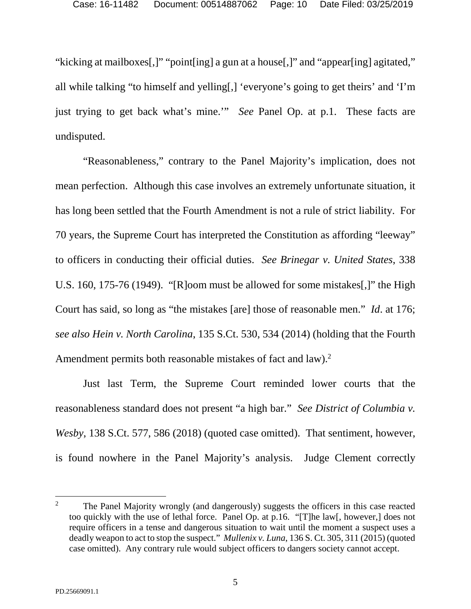"kicking at mailboxes[,]" "point[ing] a gun at a house[,]" and "appear[ing] agitated," all while talking "to himself and yelling[,] 'everyone's going to get theirs' and 'I'm just trying to get back what's mine.'" *See* Panel Op. at p.1. These facts are undisputed.

<span id="page-17-0"></span>"Reasonableness," contrary to the Panel Majority's implication, does not mean perfection. Although this case involves an extremely unfortunate situation, it has long been settled that the Fourth Amendment is not a rule of strict liability. For 70 years, the Supreme Court has interpreted the Constitution as affording "leeway" to officers in conducting their official duties. *See Brinegar v. United States*, 338 U.S. 160, 175-76 (1949). "[R]oom must be allowed for some mistakes[,]" the High Court has said, so long as "the mistakes [are] those of reasonable men." *Id*. at 176; *see also Hein v. North Carolina*, 135 S.Ct. 530, 534 (2014) (holding that the Fourth Amendment permits both reasonable mistakes of fact and law).<sup>2</sup>

<span id="page-17-2"></span><span id="page-17-1"></span>Just last Term, the Supreme Court reminded lower courts that the reasonableness standard does not present "a high bar." *See District of Columbia v. Wesby*, 138 S.Ct. 577, 586 (2018) (quoted case omitted). That sentiment, however, is found nowhere in the Panel Majority's analysis. Judge Clement correctly

<span id="page-17-3"></span><sup>2</sup> The Panel Majority wrongly (and dangerously) suggests the officers in this case reacted too quickly with the use of lethal force. Panel Op. at p.16. "[T]he law[, however,] does not require officers in a tense and dangerous situation to wait until the moment a suspect uses a deadly weapon to act to stop the suspect." *Mullenix v. Luna*, 136 S. Ct. 305, 311 (2015) (quoted case omitted). Any contrary rule would subject officers to dangers society cannot accept.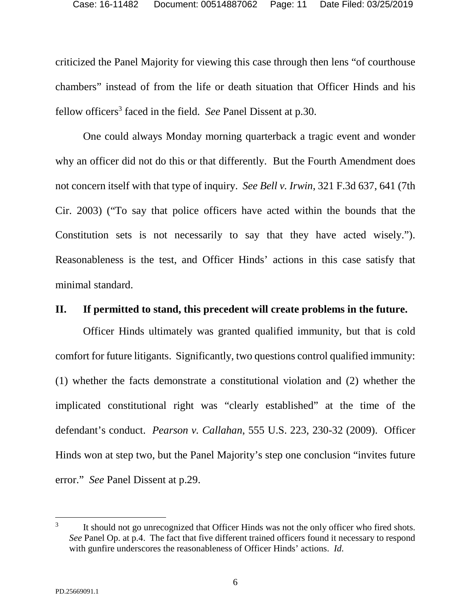criticized the Panel Majority for viewing this case through then lens "of courthouse chambers" instead of from the life or death situation that Officer Hinds and his fellow officers<sup>3</sup> faced in the field. *See* Panel Dissent at p.30.

<span id="page-18-1"></span>One could always Monday morning quarterback a tragic event and wonder why an officer did not do this or that differently. But the Fourth Amendment does not concern itself with that type of inquiry. *See Bell v. Irwin*, 321 F.3d 637, 641 (7th Cir. 2003) ("To say that police officers have acted within the bounds that the Constitution sets is not necessarily to say that they have acted wisely."). Reasonableness is the test, and Officer Hinds' actions in this case satisfy that minimal standard.

### <span id="page-18-0"></span>**II. If permitted to stand, this precedent will create problems in the future.**

Officer Hinds ultimately was granted qualified immunity, but that is cold comfort for future litigants. Significantly, two questions control qualified immunity: (1) whether the facts demonstrate a constitutional violation and (2) whether the implicated constitutional right was "clearly established" at the time of the defendant's conduct. *Pearson v. Callahan*, 555 U.S. 223, 230-32 (2009). Officer Hinds won at step two, but the Panel Majority's step one conclusion "invites future error." *See* Panel Dissent at p.29.

<span id="page-18-2"></span><sup>3</sup> It should not go unrecognized that Officer Hinds was not the only officer who fired shots. *See* Panel Op. at p.4. The fact that five different trained officers found it necessary to respond with gunfire underscores the reasonableness of Officer Hinds' actions. *Id*.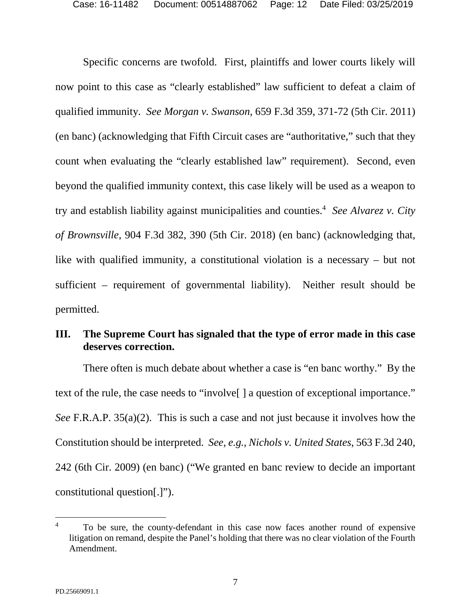<span id="page-19-2"></span>Specific concerns are twofold. First, plaintiffs and lower courts likely will now point to this case as "clearly established" law sufficient to defeat a claim of qualified immunity. *See Morgan v. Swanson*, 659 F.3d 359, 371-72 (5th Cir. 2011) (en banc) (acknowledging that Fifth Circuit cases are "authoritative," such that they count when evaluating the "clearly established law" requirement). Second, even beyond the qualified immunity context, this case likely will be used as a weapon to try and establish liability against municipalities and counties.<sup>4</sup> *See Alvarez v. City of Brownsville*, 904 F.3d 382, 390 (5th Cir. 2018) (en banc) (acknowledging that, like with qualified immunity, a constitutional violation is a necessary – but not sufficient – requirement of governmental liability). Neither result should be permitted.

### <span id="page-19-1"></span><span id="page-19-0"></span>**III. The Supreme Court has signaled that the type of error made in this case deserves correction.**

<span id="page-19-3"></span>There often is much debate about whether a case is "en banc worthy." By the text of the rule, the case needs to "involve[ ] a question of exceptional importance." *See* F.R.A.P. 35(a)(2). This is such a case and not just because it involves how the Constitution should be interpreted. *See, e.g., Nichols v. United States*, 563 F.3d 240, 242 (6th Cir. 2009) (en banc) ("We granted en banc review to decide an important constitutional question[.]").

<sup>4</sup> To be sure, the county-defendant in this case now faces another round of expensive litigation on remand, despite the Panel's holding that there was no clear violation of the Fourth Amendment.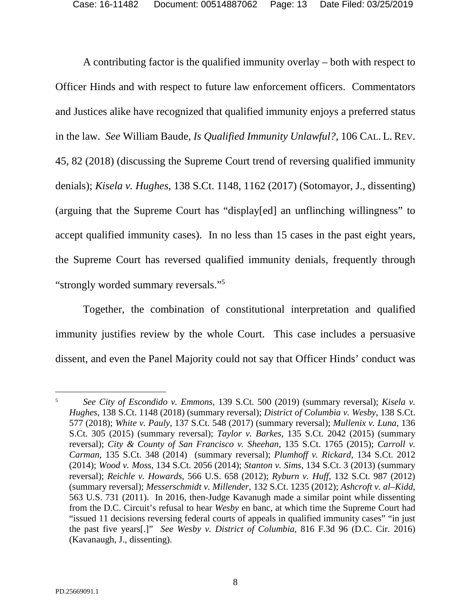<span id="page-20-16"></span>A contributing factor is the qualified immunity overlay – both with respect to Officer Hinds and with respect to future law enforcement officers. Commentators and Justices alike have recognized that qualified immunity enjoys a preferred status in the law. *See* William Baude, *Is Qualified Immunity Unlawful?*, 106 CAL. L. REV. 45, 82 (2018) (discussing the Supreme Court trend of reversing qualified immunity denials); *Kisela v. Hughes*, 138 S.Ct. 1148, 1162 (2017) (Sotomayor, J., dissenting) (arguing that the Supreme Court has "display[ed] an unflinching willingness" to accept qualified immunity cases). In no less than 15 cases in the past eight years, the Supreme Court has reversed qualified immunity denials, frequently through "strongly worded summary reversals."<sup>5</sup>

Together, the combination of constitutional interpretation and qualified immunity justifies review by the whole Court. This case includes a persuasive dissent, and even the Panel Majority could not say that Officer Hinds' conduct was

<span id="page-20-15"></span><span id="page-20-14"></span><span id="page-20-13"></span><span id="page-20-12"></span><span id="page-20-11"></span><span id="page-20-10"></span><span id="page-20-9"></span><span id="page-20-8"></span><span id="page-20-7"></span><span id="page-20-6"></span><span id="page-20-5"></span><span id="page-20-4"></span><span id="page-20-3"></span><span id="page-20-2"></span><span id="page-20-1"></span><span id="page-20-0"></span><sup>5</sup> *See City of Escondido v. Emmons*, 139 S.Ct. 500 (2019) (summary reversal); *Kisela v. Hughes*, 138 S.Ct. 1148 (2018) (summary reversal); *District of Columbia v. Wesby*, 138 S.Ct. 577 (2018); *White v. Pauly,* 137 S.Ct. 548 (2017) (summary reversal); *Mullenix v. Luna*, 136 S.Ct. 305 (2015) (summary reversal); *Taylor v. Barkes*, 135 S.Ct. 2042 (2015) (summary reversal); *City & County of San Francisco v. Sheehan*, 135 S.Ct. 1765 (2015); *Carroll v. Carman*, 135 S.Ct. 348 (2014) (summary reversal); *Plumhoff v. Rickard*, 134 S.Ct. 2012 (2014); *Wood v. Moss*, 134 S.Ct. 2056 (2014); *Stanton v. Sims*, 134 S.Ct. 3 (2013) (summary reversal); *Reichle v. Howards*, 566 U.S. 658 (2012); *Ryburn v. Huff*, 132 S.Ct. 987 (2012) (summary reversal); *Messerschmidt v. Millender*, 132 S.Ct. 1235 (2012); *Ashcroft v. al–Kidd*, 563 U.S. 731 (2011). In 2016, then-Judge Kavanugh made a similar point while dissenting from the D.C. Circuit's refusal to hear *Wesby* en banc, at which time the Supreme Court had "issued 11 decisions reversing federal courts of appeals in qualified immunity cases" "in just the past five years[.]" *See Wesby v. District of Columbia*, 816 F.3d 96 (D.C. Cir. 2016) (Kavanaugh, J., dissenting).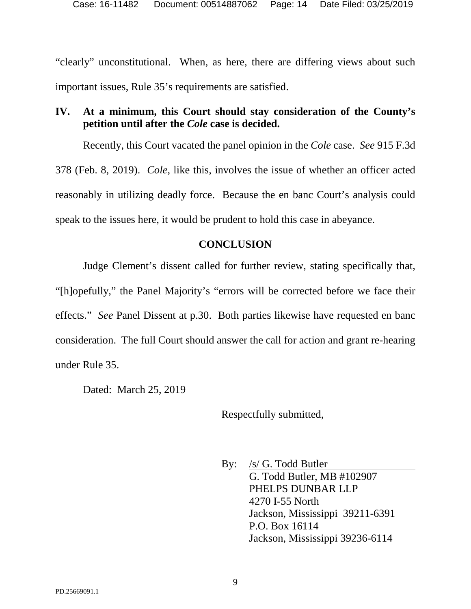"clearly" unconstitutional. When, as here, there are differing views about such important issues, Rule 35's requirements are satisfied.

## <span id="page-21-0"></span>**IV. At a minimum, this Court should stay consideration of the County's petition until after the** *Cole* **case is decided.**

Recently, this Court vacated the panel opinion in the *Cole* case. *See* 915 F.3d 378 (Feb. 8, 2019). *Cole*, like this, involves the issue of whether an officer acted reasonably in utilizing deadly force. Because the en banc Court's analysis could speak to the issues here, it would be prudent to hold this case in abeyance.

## **CONCLUSION**

<span id="page-21-1"></span>Judge Clement's dissent called for further review, stating specifically that, "[h]opefully," the Panel Majority's "errors will be corrected before we face their effects." *See* Panel Dissent at p.30. Both parties likewise have requested en banc consideration. The full Court should answer the call for action and grant re-hearing under Rule 35.

Dated: March 25, 2019

Respectfully submitted,

By: <u>/s/ G. Todd Butler</u> G. Todd Butler, MB #102907 PHELPS DUNBAR LLP 4270 I-55 North Jackson, Mississippi 39211-6391 P.O. Box 16114 Jackson, Mississippi 39236-6114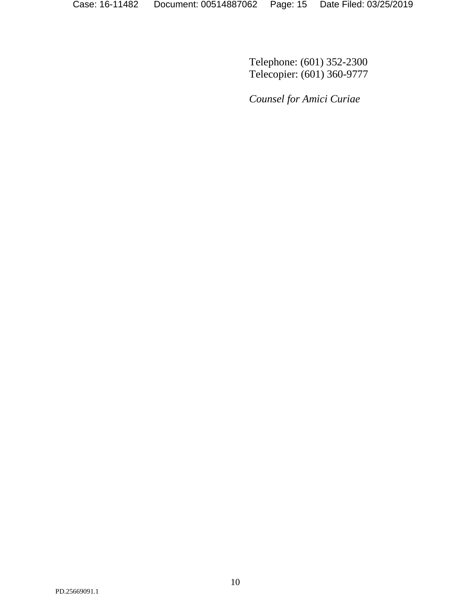Telephone: (601) 352-2300 Telecopier: (601) 360-9777

*Counsel for Amici Curiae*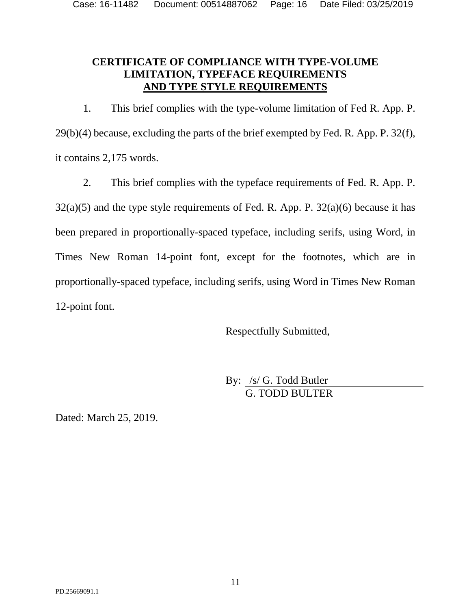## <span id="page-23-0"></span>**CERTIFICATE OF COMPLIANCE WITH TYPE-VOLUME LIMITATION, TYPEFACE REQUIREMENTS AND TYPE STYLE REQUIREMENTS**

1. This brief complies with the type-volume limitation of Fed R. App. P. 29(b)(4) because, excluding the parts of the brief exempted by Fed. R. App. P. 32(f), it contains 2,175 words.

2. This brief complies with the typeface requirements of Fed. R. App. P.  $32(a)(5)$  and the type style requirements of Fed. R. App. P.  $32(a)(6)$  because it has been prepared in proportionally-spaced typeface, including serifs, using Word, in Times New Roman 14-point font, except for the footnotes, which are in proportionally-spaced typeface, including serifs, using Word in Times New Roman 12-point font.

Respectfully Submitted,

By: /s/ G. Todd Butler G. TODD BULTER

Dated: March 25, 2019.